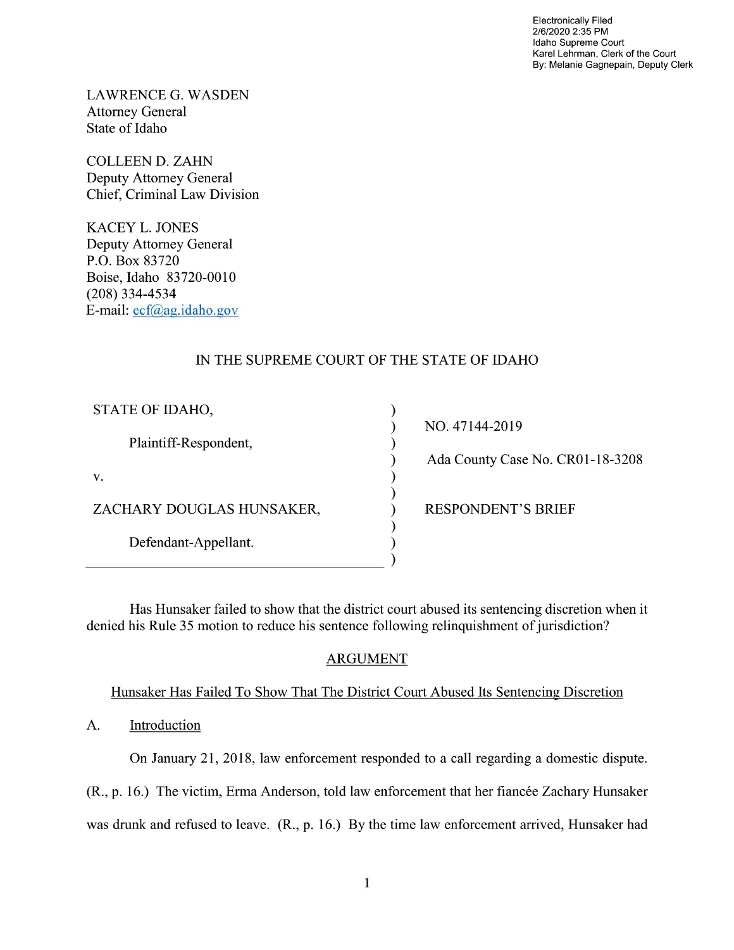Electronically Filed 2/6/2020 2:35 PM Idaho Supreme Court Karel Lehrman, Clerk of the Court By: Melanie Gagnepain, Deputy Clerk

LAWRENCE G. WASDEN Attorney General State of Idaho

COLLEEN D. ZAHN Deputy Attorney General Chief, Criminal Law Division

KACEY L. JONES Deputy Attorney General P.O. Box 83720 Boise, Idaho 83720-00 (208) 334—4534 E—mail: ecf@ag.idaho.gov

## IN THE SUPREME COURT OF THE STATE OF IDAHO

| STATE OF IDAHO,           |
|---------------------------|
| Plaintiff-Respondent,     |
| v.                        |
| ZACHARY DOUGLAS HUNSAKER, |
| Defendant-Appellant.      |

NO. 47144-2019 Ada County Case No. CR01-18-3208 RESPONDENT'S BRIEF

Has Hunsaker failed to show that the district court abused its sentencing discretion when it denied his Rule 35 motion to reduce his sentence following relinquishment of jurisdiction?

vvvvvvvvvv

 $\mathcal{E}$  $\lambda$ ſ

### ARGUMENT

Hunsaker Has Failed T0 Show That The District Court Abused Its Sentencing Discretion

A. Introduction

On January 21, 2018, law enforcement responded to a call regarding a domestic dispute.

(R., p. 16.) The Victim, Erma Anderson, told law enforcement that her fiancée Zachary Hunsaker

was drunk and refused to leave. (R., p. 16.) By the time law enforcement arrived, Hunsaker had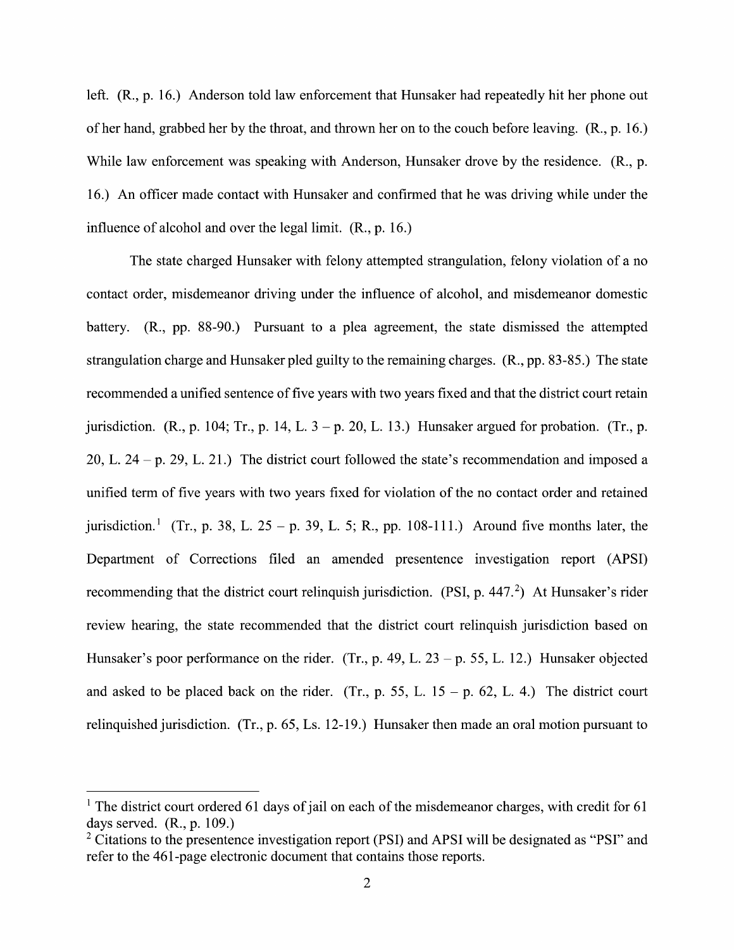left. (R., p. 16.) Anderson told law enforcement that Hunsaker had repeatedly hit her phone out 0f her hand, grabbed her by the throat, and thrown her on to the couch before leaving. (R., p. 16.) While law enforcement was speaking with Anderson, Hunsaker drove by the residence. (R., p. 16.) An officer made contact with Hunsaker and confirmed that he was driving while under the influence 0f alcohol and over the legal limit. (R., p. 16.)

The state charged Hunsaker with felony attempted strangulation, felony violation of a no contact order, misdemeanor driving under the influence of alcohol, and misdemeanor domestic battery.  $(R_{1}, pp. 88-90.)$  Pursuant to a plea agreement, the state dismissed the attempted strangulation charge and Hunsaker pled guilty to the remaining charges. (R., pp. 83-85.) The state recommended a unified sentence of five years with two years fixed and that the district court retain jurisdiction. (R., p. 104; Tr., p. 14, L.  $3 - p$ . 20, L. 13.) Hunsaker argued for probation. (Tr., p. 20, L. 24 - p. 29, L. 21.) The district court followed the state's recommendation and imposed a unified term of five years with two years fixed for violation of the no contact order and retained jurisdiction.<sup>1</sup> (Tr., p. 38, L. 25 – p. 39, L. 5; R., pp. 108-111.) Around five months later, the Department of Corrections filed an amended presentence investigation report (APSI) recommending that the district court relinquish jurisdiction. (PSI, p.  $447<sup>2</sup>$ ) At Hunsaker's rider review hearing, the state recommended that the district court relinquish jurisdiction based 0n Hunsaker's poor performance on the rider. (Tr., p. 49, L. 23 – p. 55, L. 12.) Hunsaker objected and asked to be placed back on the rider. (Tr., p. 55, L.  $15 - p$ . 62, L. 4.) The district court relinquished jurisdiction. (Tr., p.  $65$ , Ls. 12-19.) Hunsaker then made an oral motion pursuant to

<sup>&</sup>lt;sup>1</sup> The district court ordered 61 days of jail on each of the misdemeanor charges, with credit for 61 days served. (R., p. 109.)

<sup>&</sup>lt;sup>2</sup> Citations to the presentence investigation report (PSI) and APSI will be designated as "PSI" and refer to the 461-page electronic document that contains those reports.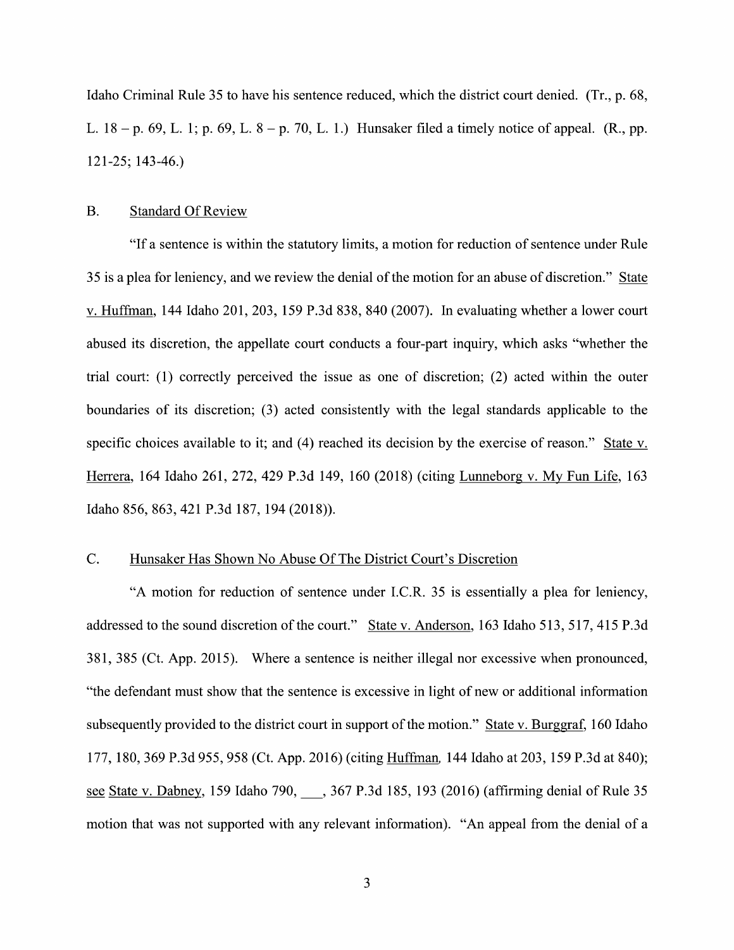Idaho Criminal Rule 35 to have his sentence reduced, which the district court denied. (Tr., p. 68, L.  $18 - p. 69$ , L. 1; p. 69, L.  $8 - p. 70$ , L. 1.) Hunsaker filed a timely notice of appeal. (R., pp. 121—25; 143-46.)

### B. Standard Of Review

"If a sentence is within the statutory limits, a motion for reduction of sentence under Rule 35 is a plea for leniency, and we review the denial of the motion for an abuse of discretion." State v. Huffman, 144 Idaho 201, 203, 159 P.3d 838, 840 (2007). In evaluating whether a lower court abused its discretion, the appellate court conducts a four-part inquiry, which asks "whether the trial court: (1) correctly perceived the issue as one of discretion; (2) acted Within the outer boundaries 0f its discretion; (3) acted consistently With the legal standards applicable to the specific choices available to it; and (4) reached its decision by the exercise of reason." State v. Herrera, <sup>164</sup> Idaho 261, 272, <sup>429</sup> P.3d 149, <sup>160</sup> (2018) (citing Lunneborg V. My Fun Life, <sup>163</sup> Idaho 856, 863, <sup>421</sup> P.3d 187, <sup>194</sup> (2018)).

### C. Hunsaker Has Shown No Abuse Of The District Court's Discretion

"A motion for reduction of sentence under I.C.R. 35 is essentially a plea for leniency, addressed to the sound discretion of the court." State v. Anderson, 163 Idaho 513, 517, 415 P.3d 381, 385 (Ct. App. 2015). Where a sentence is neither illegal nor excessive when pronounced, "the defendant must show that the sentence is excessive in light of new or additional information subsequently provided to the district court in support of the motion." State v. Burggraf, 160 Idaho 177, 180, 369 P.3d 955, 958 (Ct. App. 2016) (citing Huffman 144 Idaho at 203, 159 P.3d at 840); see State v. Dabney, 159 Idaho 790, 367 P.3d 185, 193 (2016) (affirming denial of Rule 35 motion that was not supported with any relevant information). "An appeal from the denial of a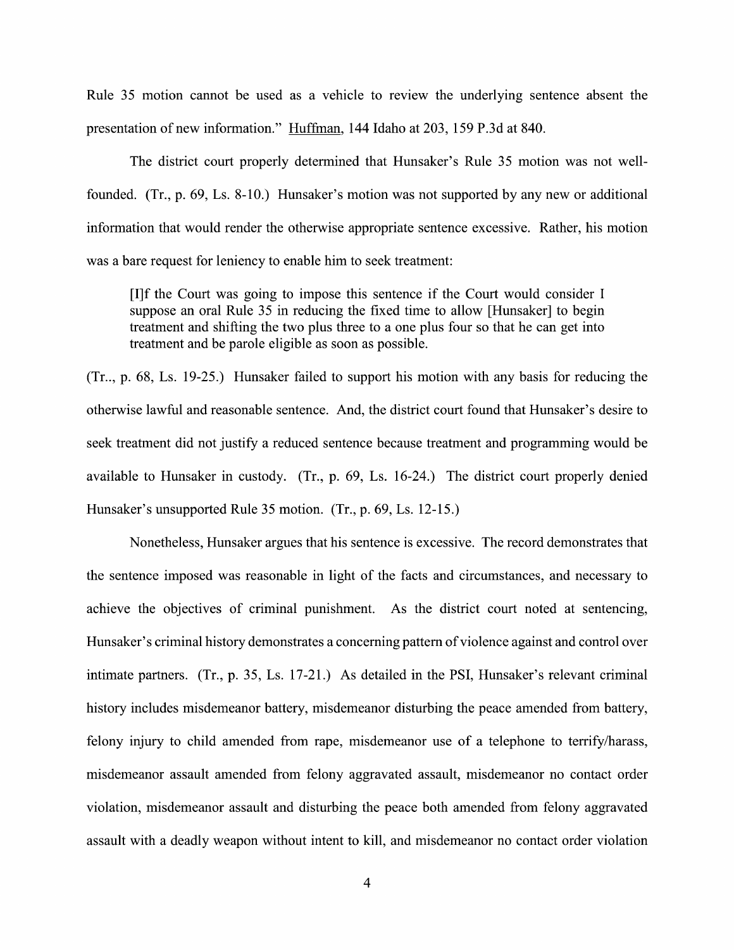Rule <sup>35</sup> motion cannot be used as vehicle to review the underlying sentence absent the Rule 35 motion cannot be used as a vehicle to review the underlying sentenc<br>presentation of new information." Huffman, 144 Idaho at 203, 159 P.3d at 840.

The district court properly determined that Hunsaker's Rule 35 motion was not wellfounded. (Tr., p. 69, Ls. 8-10.) Hunsaker's motion was not supported by any new or additional information that would render the otherwise appropriate sentence excessive. Rather, his motion was a bare request for leniency to enable him to seek treatment:

[I]f the Court was going to impose this sentence if the Court would consider I suppose an oral Rule 35 in reducing the fixed time to allow [Hunsaker] to begin treatment and shifting the two plus three to a one plus four so that he can get into treatment and be parole eligible as soon as possible.

(Tr.., p. 68, Ls. 19-25.) Hunsaker failed to support his motion with any basis for reducing the otherwise lawful and reasonable sentence. And, the district court found that Hunsaker's desire to seek treatment did not justify a reduced sentence because treatment and programming would be available to Hunsaker in custody. (Tr., p.  $69$ , Ls.  $16-24$ .) The district court properly denied Hunsaker's unsupported Rule 35 motion. (Tr., p. 69, Ls. 12-15.)

Nonetheless, Hunsaker argues that his sentence is excessive. The record demonstrates that the sentence imposed was reasonable in light of the facts and circumstances, and necessary to achieve the objectives of criminal punishment. As the district court noted at sentencing, Hunsaker's criminal history demonstrates a concerning pattern of violence against and control over intimate partners.  $(Tr, p. 35, Ls. 17-21.)$  As detailed in the PSI, Hunsaker's relevant criminal history includes misdemeanor battery, misdemeanor disturbing the peace amended from battery, felony injury to child amended from rape, misdemeanor use of a telephone to terrify/harass, misdemeanor assault amended from felony aggravated assault, misdemeanor no contact order Violation, misdemeanor assault and disturbing the peace both amended from felony aggravated assault with a deadly weapon without intent to kill, and misdemeanor no contact order violation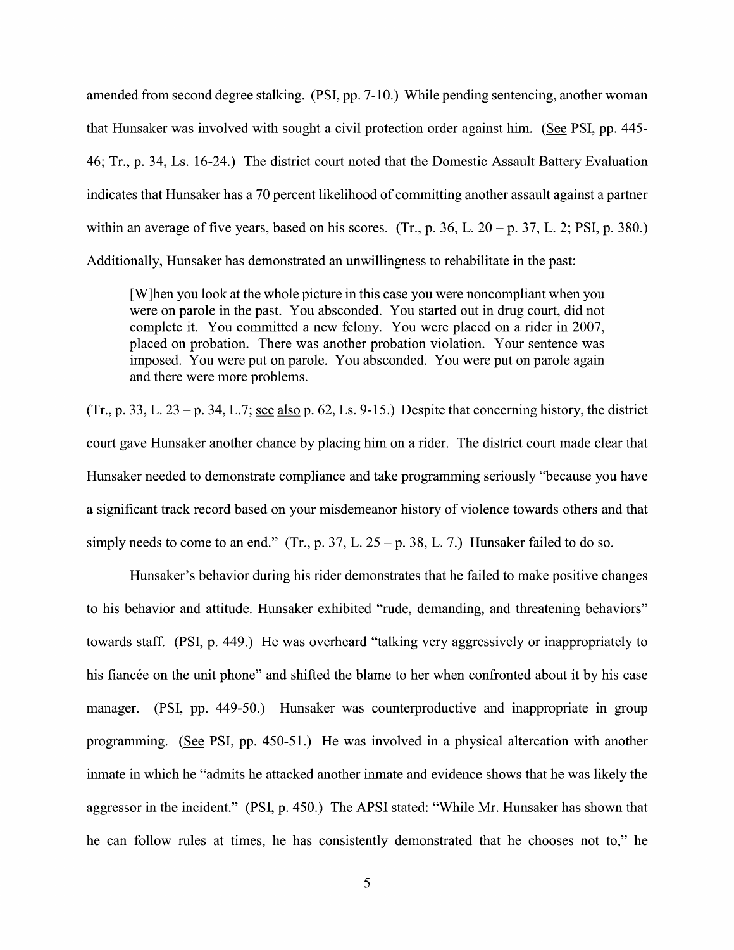amended from second degree stalking. (PSI, pp. 7-10.) While pending sentencing, another woman that Hunsaker was involved with sought a civil protection order against him. (See PSI, pp. 445-46; Tr., p. 34, Ls. 16-24.) The district court noted that the Domestic Assault Battery Evaluation indicates that Hunsaker has a 70 percent likelihood of committing another assault against a partner within an average of five years, based on his scores. (Tr., p. 36, L.  $20 - p$ , 37, L. 2; PSI, p. 380.) Additionally, Hunsaker has demonstrated an unwillingness to rehabilitate in the past:

[W]hen you 100k at the whole picture in this case you were noncompliant when you were on parole in the past. You absconded. You started out in drug court, did not complete it. You committed a new felony. You were placed on a rider in 2007, placed on probation. There was another probation violation. Your sentence was imposed. You were put 0n parole. You absconded. You were put 0n parole again and there were more problems.

(Tr., p. 33, L. 23 – p. 34, L.7; see also p. 62, Ls. 9-15.) Despite that concerning history, the district court gave Hunsaker another chance by placing him on a rider. The district court made clear that Hunsaker needed to demonstrate compliance and take programming seriously "because you have a significant track record based on your misdemeanor history of violence towards others and that simply needs to come to an end." (Tr., p. 37, L.  $25 - p$ . 38, L. 7.) Hunsaker failed to do so.

Hunsaker's behavior during his rider demonstrates that he failed to make positive changes to his behavior and attitude. Hunsaker exhibited "rude, demanding, and threatening behaviors" towards staff. (PSI, p. 449.) He was overheard "talking very aggressively or inappropriately to his fiancée 0n the unit phone" and shifted the blame to her When confronted about it by his case manager. (PSI, pp. 449-50.) Hunsaker was counterproductive and inappropriate in group programming. (See PSI, pp.  $450-51$ .) He was involved in a physical altercation with another inmate in Which he "admits he attacked another inmate and evidence shows that he was likely the aggressor in the incident." (PSI, p. 450.) The APSI stated: "While Mr. Hunsaker has shown that he can follow rules at times, he has consistently demonstrated that he chooses not to," he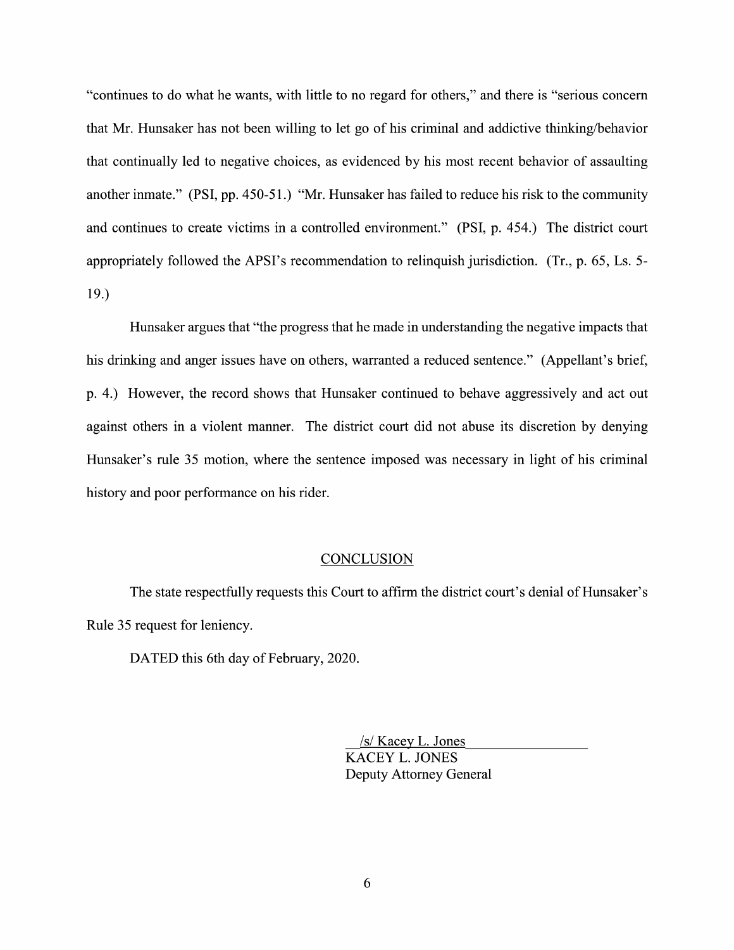"continues to do what he wants, with little to no regard for others," and there is "serious concern that Mr. Hunsaker has not been willing to let go of his criminal and addictive thinking/behavior that continually led to negative choices, as evidenced by his most recent behavior of assaulting another inmate." (PSI, pp. 450-51.) "Mr. Hunsaker has failed to reduce his risk to the community and continues to create victims in a controlled environment." (PSI, p. 454.) The district court appropriately followed the APSI's recommendation to relinquish jurisdiction. (Tr., p. 65, Ls. 5-19.)

Hunsaker argues that "the progress that he made in understanding the negative impacts that his drinking and anger issues have on others, warranted a reduced sentence." (Appellant's brief, p. 4.) However, the record shows that Hunsaker continued to behave aggressively and act out against others in a violent manner. The district court did not abuse its discretion by denying Hunsaker's rule 35 motion, Where the sentence imposed was necessary in light of his criminal history and poor performance on his rider.

#### **CONCLUSION**

The state respectfully requests this Court to affirm the district court's denial 0f Hunsaker's Rule 35 request for leniency.

DATED this 6th day of February, 2020.

\_/s/ Kacey L. Jones KACEY L. JONES Deputy Attorney General